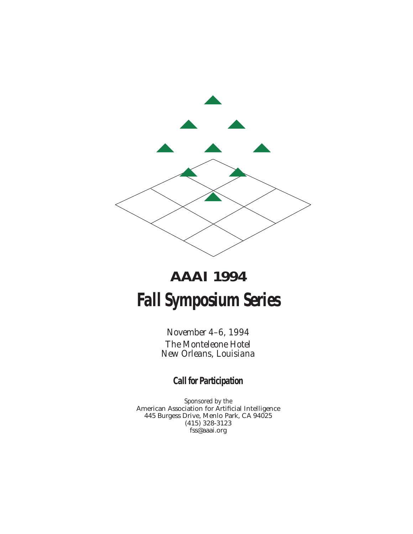

# **AAAI 1994 Fall Symposium Series**

*November 4–6, 1994 The Monteleone Hotel New Orleans, Louisiana*

**Call for Participation**

*Sponsored by the* American Association for Artificial Intelligence 445 Burgess Drive, Menlo Park, CA 94025 (415) 328-3123 fss@aaai.org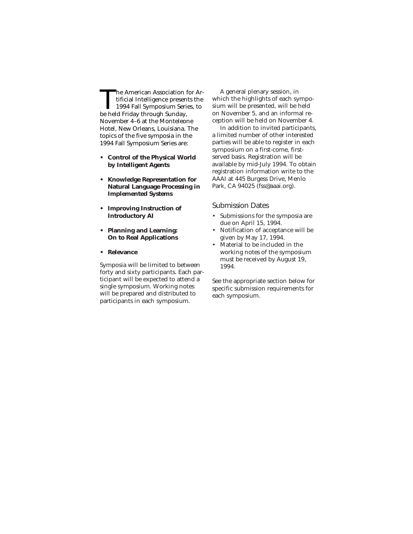The American Association for Artificial Intelligence presents the<br>1994 Fall Symposium Series, to<br>he held Friday through Sunday tificial Intelligence presents the 1994 Fall Symposium Series, to be held Friday through Sunday, November 4–6 at the Monteleone Hotel, New Orleans, Louisiana. The topics of the five symposia in the 1994 Fall Symposium Series are:

- **• Control of the Physical World by Intelligent Agents**
- **• Knowledge Representation for Natural Language Processing in Implemented Systems**
- **• Improving Instruction of Introductory AI**
- **• Planning and Learning: On to Real Applications**
- **• Relevance**

Symposia will be limited to between forty and sixty participants. Each participant will be expected to attend a single symposium. Working notes will be prepared and distributed to participants in each symposium.

A general plenary session, in which the highlights of each symposium will be presented, will be held on November 5, and an informal reception will be held on November 4.

In addition to invited participants, a limited number of other interested parties will be able to register in each symposium on a first-come, firstserved basis. Registration will be available by mid-July 1994. To obtain registration information write to the AAAI at 445 Burgess Drive, Menlo Park, CA 94025 (fss@aaai.org).

Submission Dates

- Submissions for the symposia are due on April 15, 1994.
- Notification of acceptance will be given by May 17, 1994.
- Material to be included in the working notes of the symposium must be received by August 19, 1994.

See the appropriate section below for specific submission requirements for each symposium.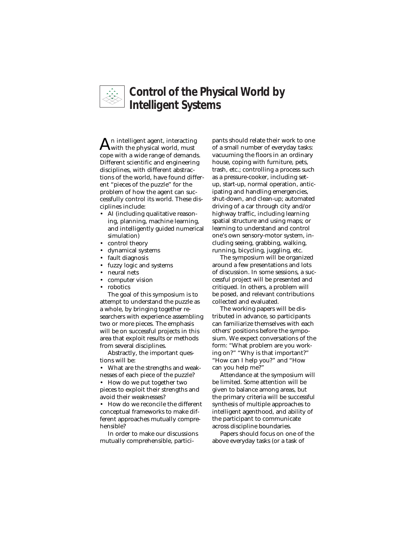

# **Control of the Physical World by Intelligent Systems**

 ${\rm A}$ n intelligent agent, interacting<br>with the physical world, must cope with a wide range of demands. Different scientific and engineering disciplines, with different abstractions of the world, have found different "pieces of the puzzle" for the problem of how the agent can successfully control its world. These disciplines include:

- AI (including qualitative reasoning, planning, machine learning, and intelligently guided numerical simulation)
- control theory
- dynamical systems
- fault diagnosis
- fuzzy logic and systems
- neural nets
- computer vision
- robotics

The goal of this symposium is to attempt to understand the puzzle as a whole, by bringing together researchers with experience assembling two or more pieces. The emphasis will be on successful projects in this area that exploit results or methods from several disciplines.

Abstractly, the important questions will be:

• What are the strengths and weaknesses of each piece of the puzzle?

• How do we put together two pieces to exploit their strengths and avoid their weaknesses?

• How do we reconcile the different conceptual frameworks to make different approaches mutually comprehensible?

In order to make our discussions mutually comprehensible, participants should relate their work to one of a small number of everyday tasks: vacuuming the floors in an ordinary house, coping with furniture, pets, trash, etc.; controlling a process such as a pressure-cooker, including setup, start-up, normal operation, anticipating and handling emergencies, shut-down, and clean-up; automated driving of a car through city and/or highway traffic, including learning spatial structure and using maps; or learning to understand and control one's own sensory-motor system, including seeing, grabbing, walking, running, bicycling, juggling, etc.

The symposium will be organized around a few presentations and lots of discussion. In some sessions, a successful project will be presented and critiqued. In others, a problem will be posed, and relevant contributions collected and evaluated.

The working papers will be distributed in advance, so participants can familiarize themselves with each others' positions before the symposium. We expect conversations of the form: "What problem are you working on?" "Why is that important?" "How can I help you?" and "How can you help me?"

Attendance at the symposium will be limited. Some attention will be given to balance among areas, but the primary criteria will be successful synthesis of multiple approaches to intelligent agenthood, and ability of the participant to communicate across discipline boundaries.

Papers should focus on one of the above everyday tasks (or a task of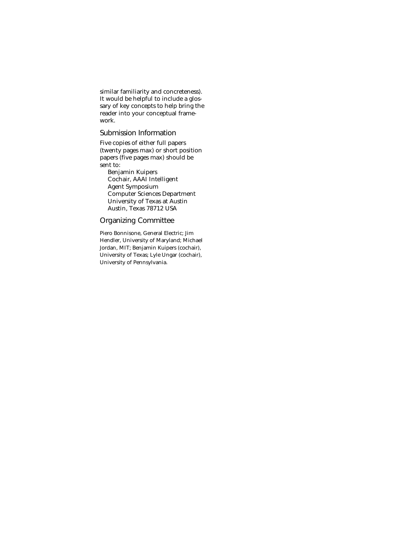similar familiarity and concreteness). It would be helpful to include a glossary of key concepts to help bring the reader into your conceptual framework.

# Submission Information

Five copies of either full papers (twenty pages max) or short position papers (five pages max) should be sent to:

Benjamin Kuipers Cochair, AAAI Intelligent Agent Symposium Computer Sciences Department University of Texas at Austin Austin, Texas 78712 USA

## Organizing Committee

Piero Bonnisone, General Electric; Jim Hendler, University of Maryland; Michael Jordan, MIT; Benjamin Kuipers (cochair), University of Texas; Lyle Ungar (cochair), University of Pennsylvania.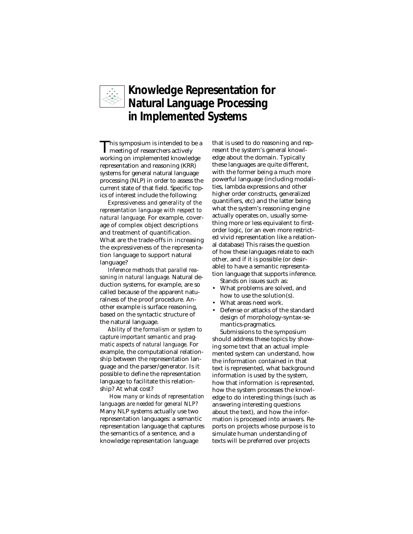

# **Knowledge Representation for Natural Language Processing in Implemented Systems**

This symposium is intended to be a meeting of researchers actively working on implemented knowledge representation and reasoning (KRR) systems for general natural language processing (NLP) in order to assess the current state of that field. Specific topics of interest include the following:

*Expressiveness and generality of the representation language with respect to natural language.* For example, coverage of complex object descriptions and treatment of quantification. What are the trade-offs in increasing the expressiveness of the representation language to support natural language?

*Inference methods that parallel reasoning in natural language.* Natural deduction systems, for example, are so called because of the apparent naturalness of the proof procedure. Another example is surface reasoning, based on the syntactic structure of the natural language.

*Ability of the formalism or system to capture important semantic and pragmatic aspects of natural language.* For example, the computational relationship between the representation language and the parser/generator. Is it possible to define the representation language to facilitate this relationship? At what cost?

*How many or kinds of representation languages are needed for general NLP?* Many NLP systems actually use two representation languages: a semantic representation language that captures the semantics of a sentence, and a knowledge representation language

that is used to do reasoning and represent the system's general knowledge about the domain. Typically these languages are quite different, with the former being a much more powerful language (including modalities, lambda expressions and other higher order constructs, generalized quantifiers, etc) and the latter being what the system's reasoning engine actually operates on, usually something more or less equivalent to firstorder logic, (or an even more restricted vivid representation like a relational database) This raises the question of how these languages relate to each other, and if it is possible (or desirable) to have a semantic representation language that supports inference. Stands on issues such as:

- What problems are solved, and how to use the solution(s).
- What areas need work.
- Defense or attacks of the standard design of morphology-syntax-semantics-pragmatics.

Submissions to the symposium should address these topics by showing some text that an actual implemented system can understand, how the information contained in that text is represented, what background information is used by the system, how that information is represented, how the system processes the knowledge to do interesting things (such as answering interesting questions about the text), and how the information is processed into answers. Reports on projects whose purpose is to simulate human understanding of texts will be preferred over projects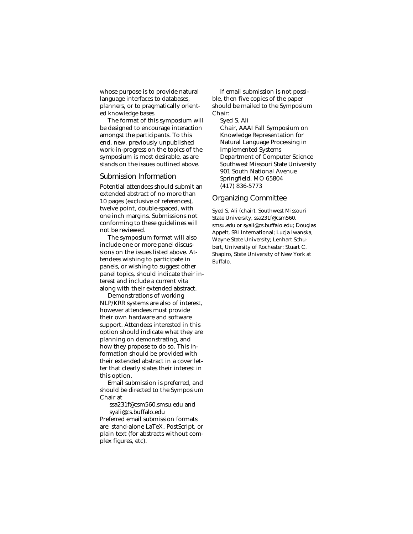whose purpose is to provide natural language interfaces to databases, planners, or to pragmatically oriented knowledge bases.

The format of this symposium will be designed to encourage interaction amongst the participants. To this end, new, previously unpublished work-in-progress on the topics of the symposium is most desirable, as are stands on the issues outlined above.

#### Submission Information

Potential attendees should submit an extended abstract of no more than 10 pages (exclusive of references), twelve point, double-spaced, with one inch margins. Submissions not conforming to these guidelines will not be reviewed.

The symposium format will also include one or more panel discussions on the issues listed above. Attendees wishing to participate in panels, or wishing to suggest other panel topics, should indicate their interest and include a current vita along with their extended abstract.

Demonstrations of working NLP/KRR systems are also of interest, however attendees must provide their own hardware and software support. Attendees interested in this option should indicate what they are planning on demonstrating, and how they propose to do so. This information should be provided with their extended abstract in a cover letter that clearly states their interest in this option.

Email submission is preferred, and should be directed to the Symposium Chair at

ssa231f@csm560.smsu.edu and syali@cs.buffalo.edu

Preferred email submission formats are: stand-alone LaTeX, PostScript, or plain text (for abstracts without complex figures, etc).

If email submission is not possible, then five copies of the paper should be mailed to the Symposium Chair:

Syed S. Ali Chair, AAAI Fall Symposium on Knowledge Representation for Natural Language Processing in Implemented Systems Department of Computer Science Southwest Missouri State University 901 South National Avenue Springfield, MO 65804 (417) 836-5773

#### Organizing Committee

Syed S. Ali (chair), Southwest Missouri State University, ssa231f@csm560. smsu.edu or syali@cs.buffalo.edu; Douglas Appelt, SRI International; Lucja Iwanska, Wayne State University; Lenhart Schubert, University of Rochester; Stuart C. Shapiro, State University of New York at Buffalo.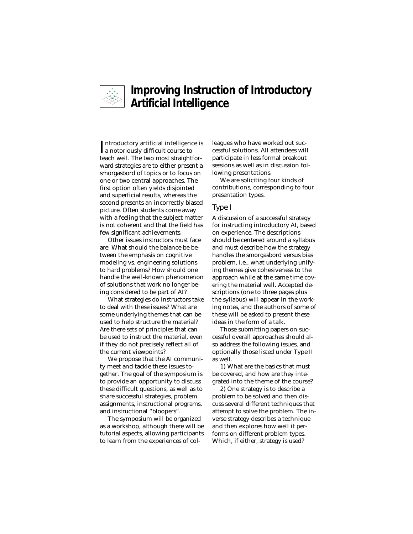

# **Improving Instruction of Introductory Artificial Intelligence**

Introductory artificial intelligend<br> **I** a notoriously difficult course to ntroductory artificial intelligence is teach well. The two most straightforward strategies are to either present a smorgasbord of topics or to focus on one or two central approaches. The first option often yields disjointed and superficial results, whereas the second presents an incorrectly biased picture. Often students come away with a feeling that the subject matter is not coherent and that the field has few significant achievements.

Other issues instructors must face are: What should the balance be between the emphasis on cognitive modeling vs. engineering solutions to hard problems? How should one handle the well-known phenomenon of solutions that work no longer being considered to be part of AI?

What strategies do instructors take to deal with these issues? What are some underlying themes that can be used to help structure the material? Are there sets of principles that can be used to instruct the material, even if they do not precisely reflect all of the current viewpoints?

We propose that the AI community meet and tackle these issues together. The goal of the symposium is to provide an opportunity to discuss these difficult questions, as well as to share successful strategies, problem assignments, instructional programs, and instructional "bloopers".

The symposium will be organized as a workshop, although there will be tutorial aspects, allowing participants to learn from the experiences of colleagues who have worked out successful solutions. All attendees will participate in less formal breakout sessions as well as in discussion following presentations.

We are soliciting four kinds of contributions, corresponding to four presentation types.

#### Type I

A discussion of a successful strategy for instructing introductory AI, based on experience. The descriptions should be centered around a syllabus and must describe how the strategy handles the smorgasbord versus bias problem, i.e., what underlying unifying themes give cohesiveness to the approach while at the same time covering the material well. Accepted descriptions (one to three pages plus the syllabus) will appear in the working notes, and the authors of some of these will be asked to present these ideas in the form of a talk.

Those submitting papers on successful overall approaches should also address the following issues, and optionally those listed under Type II as well.

1) What are the basics that must be covered, and how are they integrated into the theme of the course?

2) One strategy is to describe a problem to be solved and then discuss several different techniques that attempt to solve the problem. The inverse strategy describes a technique and then explores how well it performs on different problem types. Which, if either, strategy is used?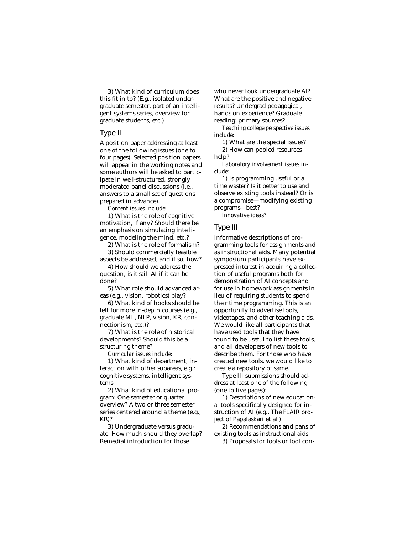3) What kind of curriculum does this fit in to? (E.g., isolated undergraduate semester, part of an intelligent systems series, overview for graduate students, etc.)

#### Type II

A position paper addressing at least one of the following issues (one to four pages). Selected position papers will appear in the working notes and some authors will be asked to participate in well-structured, strongly moderated panel discussions (i.e., answers to a small set of questions prepared in advance).

*Content issues include:*

1) What is the role of cognitive motivation, if any? Should there be an emphasis on simulating intelligence, modeling the mind, etc.?

2) What is the role of formalism?

3) Should commercially feasible aspects be addressed, and if so, how?

4) How should we address the question, is it still AI if it can be done?

5) What role should advanced areas (e.g., vision, robotics) play?

6) What kind of hooks should be left for more in-depth courses (e.g., graduate ML, NLP, vision, KR, connectionism, etc.)?

7) What is the role of historical developments? Should this be a structuring theme?

*Curricular issues include:*

1) What kind of department; interaction with other subareas, e.g.: cognitive systems, intelligent systems.

2) What kind of educational program: One semester or quarter overview? A two or three semester series centered around a theme (e.g., KR)?

3) Undergraduate versus graduate: How much should they overlap? Remedial introduction for those

who never took undergraduate AI? What are the positive and negative results? Undergrad pedagogical, hands on experience? Graduate reading: primary sources?

*Teaching college perspective issues include:*

1) What are the special issues? 2) How can pooled resources help?

*Laboratory involvement issues include:*

1) Is programming useful or a time waster? Is it better to use and observe existing tools instead? Or is a compromise—modifying existing programs—best?

*Innovative ideas?*

#### Type III

Informative descriptions of programming tools for assignments and as instructional aids. Many potential symposium participants have expressed interest in acquiring a collection of useful programs both for demonstration of AI concepts and for use in homework assignments in lieu of requiring students to spend their time programming. This is an opportunity to advertise tools, videotapes, and other teaching aids. We would like all participants that have used tools that they have found to be useful to list these tools, and all developers of new tools to describe them. For those who have created new tools, we would like to create a repository of same.

Type III submissions should address at least one of the following (one to five pages):

1) Descriptions of new educational tools specifically designed for instruction of AI (e.g., The FLAIR project of Papalaskari et al.).

2) Recommendations and pans of existing tools as instructional aids.

3) Proposals for tools or tool con-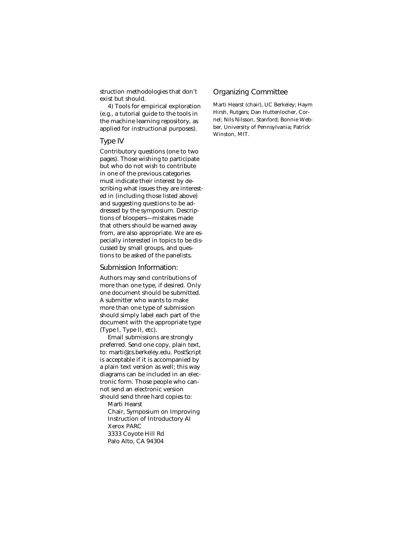struction methodologies that don't exist but should.

4) Tools for empirical exploration (e.g., a tutorial guide to the tools in the machine learning repository, as applied for instructional purposes).

#### Type IV

Contributory questions (one to two pages). Those wishing to participate but who do not wish to contribute in one of the previous categories must indicate their interest by describing what issues they are interested in (including those listed above) and suggesting questions to be addressed by the symposium. Descriptions of bloopers—mistakes made that others should be warned away from, are also appropriate. We are especially interested in topics to be discussed by small groups, and questions to be asked of the panelists.

#### Submission Information:

Authors may send contributions of more than one type, if desired. Only one document should be submitted. A submitter who wants to make more than one type of submission should simply label each part of the document with the appropriate type (Type I, Type II, etc).

Email submissions are strongly preferred. Send one copy, plain text, to: marti@cs.berkeley.edu. PostScript is acceptable if it is accompanied by a plain text version as well; this way diagrams can be included in an electronic form. Those people who cannot send an electronic version should send three hard copies to:

Marti Hearst

Chair, Symposium on Improving Instruction of Introductory AI Xerox PARC 3333 Coyote Hill Rd Palo Alto, CA 94304

## Organizing Committee

Marti Hearst (chair), UC Berkeley; Haym Hirsh, Rutgers; Dan Huttenlocher, Cornel; Nils Nilsson, Stanford; Bonnie Webber, University of Pennsylvania; Patrick Winston, MIT.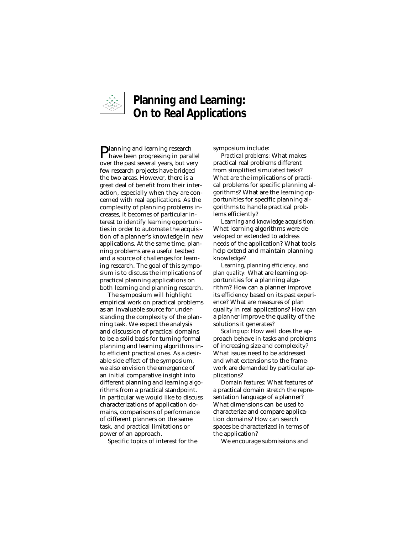

# **Planning and Learning: On to Real Applications**

Planning and learning research have been progressing in parallel over the past several years, but very few research projects have bridged the two areas. However, there is a great deal of benefit from their interaction, especially when they are concerned with real applications. As the complexity of planning problems increases, it becomes of particular interest to identify learning opportunities in order to automate the acquisition of a planner's knowledge in new applications. At the same time, planning problems are a useful testbed and a source of challenges for learning research. The goal of this symposium is to discuss the implications of practical planning applications on both learning and planning research.

The symposium will highlight empirical work on practical problems as an invaluable source for understanding the complexity of the planning task. We expect the analysis and discussion of practical domains to be a solid basis for turning formal planning and learning algorithms into efficient practical ones. As a desirable side effect of the symposium, we also envision the emergence of an initial comparative insight into different planning and learning algorithms from a practical standpoint. In particular we would like to discuss characterizations of application domains, comparisons of performance of different planners on the same task, and practical limitations or power of an approach.

Specific topics of interest for the

symposium include:

*Practical problems:* What makes practical real problems different from simplified simulated tasks? What are the implications of practical problems for specific planning algorithms? What are the learning opportunities for specific planning algorithms to handle practical problems efficiently?

*Learning and knowledge acquisition:* What learning algorithms were developed or extended to address needs of the application? What tools help extend and maintain planning knowledge?

*Learning, planning efficiency, and plan quality:* What are learning opportunities for a planning algorithm? How can a planner improve its efficiency based on its past experience? What are measures of plan quality in real applications? How can a planner improve the quality of the solutions it generates?

*Scaling up:* How well does the approach behave in tasks and problems of increasing size and complexity? What issues need to be addressed and what extensions to the framework are demanded by particular applications?

*Domain features:* What features of a practical domain stretch the representation language of a planner? What dimensions can be used to characterize and compare application domains? How can search spaces be characterized in terms of the application?

We encourage submissions and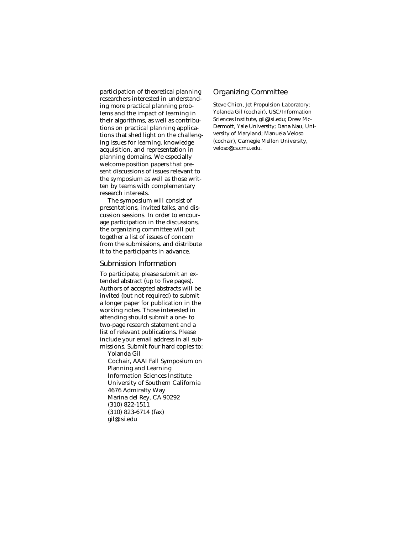participation of theoretical planning researchers interested in understanding more practical planning problems and the impact of learning in their algorithms, as well as contributions on practical planning applications that shed light on the challenging issues for learning, knowledge acquisition, and representation in planning domains. We especially welcome position papers that present discussions of issues relevant to the symposium as well as those written by teams with complementary research interests.

The symposium will consist of presentations, invited talks, and discussion sessions. In order to encourage participation in the discussions, the organizing committee will put together a list of issues of concern from the submissions, and distribute it to the participants in advance.

#### Submission Information

To participate, please submit an extended abstract (up to five pages). Authors of accepted abstracts will be invited (but not required) to submit a longer paper for publication in the working notes. Those interested in attending should submit a one- to two-page research statement and a list of relevant publications. Please include your email address in all submissions. Submit four hard copies to: Yolanda Gil

Cochair, AAAI Fall Symposium on Planning and Learning Information Sciences Institute University of Southern California 4676 Admiralty Way Marina del Rey, CA 90292 (310) 822-1511 (310) 823-6714 (fax) gil@isi.edu

### Organizing Committee

Steve Chien, Jet Propulsion Laboratory; Yolanda Gil (cochair), USC/Information Sciences Institute, gil@isi.edu; Drew Mc-Dermott, Yale University; Dana Nau, University of Maryland; Manuela Veloso (cochair), Carnegie Mellon University, veloso@cs.cmu.edu.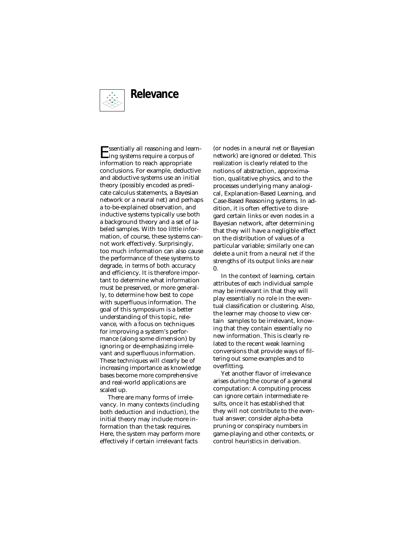

Essentially all reasoning and learn-ing systems require a corpus of information to reach appropriate conclusions. For example, deductive and abductive systems use an initial theory (possibly encoded as predicate calculus statements, a Bayesian network or a neural net) and perhaps a to-be-explained observation, and inductive systems typically use both a background theory and a set of labeled samples. With too little information, of course, these systems cannot work effectively. Surprisingly, too much information can also cause the performance of these systems to degrade, in terms of both accuracy and efficiency. It is therefore important to determine what information must be preserved, or more generally, to determine how best to cope with superfluous information. The goal of this symposium is a better understanding of this topic, relevance, with a focus on techniques for improving a system's performance (along some dimension) by ignoring or de-emphasizing irrelevant and superfluous information. These techniques will clearly be of increasing importance as knowledge bases become more comprehensive and real-world applications are scaled up.

There are many forms of irrelevancy. In many contexts (including both deduction and induction), the initial theory may include more information than the task requires. Here, the system may perform more effectively if certain irrelevant facts

(or nodes in a neural net or Bayesian network) are ignored or deleted. This realization is clearly related to the notions of abstraction, approximation, qualitative physics, and to the processes underlying many analogical, Explanation-Based Learning, and Case-Based Reasoning systems. In addition, it is often effective to disregard certain links or even nodes in a Bayesian network, after determining that they will have a negligible effect on the distribution of values of a particular variable; similarly one can delete a unit from a neural net if the strengths of its output links are near 0.

In the context of learning, certain attributes of each individual sample may be irrelevant in that they will play essentially no role in the eventual classification or clustering. Also, the learner may choose to view certain samples to be irrelevant, knowing that they contain essentially no new information. This is clearly related to the recent weak learning conversions that provide ways of filtering out some examples and to overfitting.

Yet another flavor of irrelevance arises during the course of a general computation: A computing process can ignore certain intermediate results, once it has established that they will not contribute to the eventual answer; consider alpha-beta pruning or conspiracy numbers in game-playing and other contexts, or control heuristics in derivation.